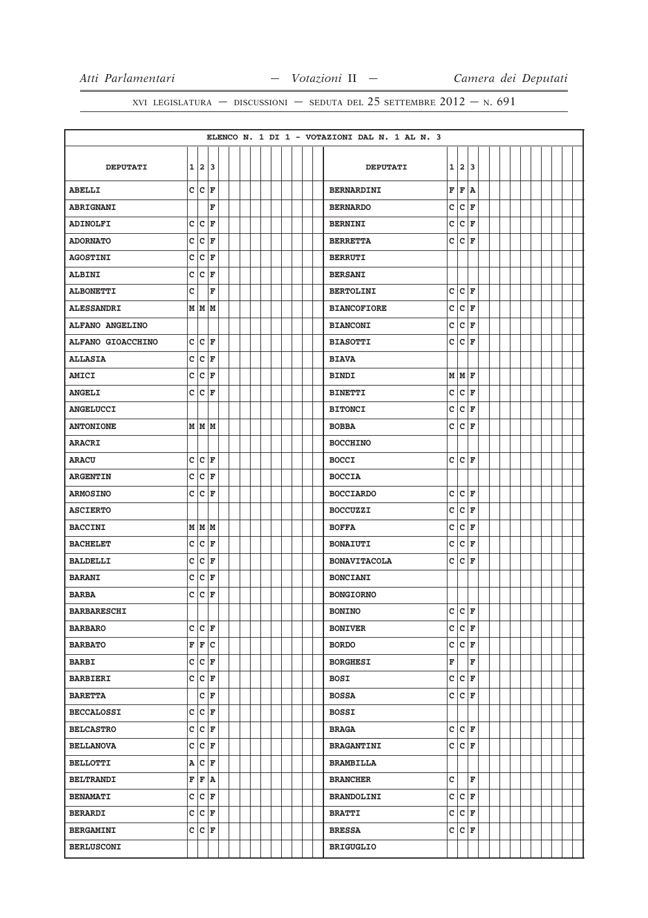|                    |              |                    |                    |  |  |  |  |  | ELENCO N. 1 DI 1 - VOTAZIONI DAL N. 1 AL N. 3 |             |                    |   |  |  |  |  |  |
|--------------------|--------------|--------------------|--------------------|--|--|--|--|--|-----------------------------------------------|-------------|--------------------|---|--|--|--|--|--|
|                    |              |                    |                    |  |  |  |  |  |                                               |             |                    |   |  |  |  |  |  |
| <b>DEPUTATI</b>    |              | 1 2 3              |                    |  |  |  |  |  | <b>DEPUTATI</b>                               |             | 1 2                | 3 |  |  |  |  |  |
| <b>ABELLI</b>      |              | $c c _F$           |                    |  |  |  |  |  | <b>BERNARDINI</b>                             | $\mathbf F$ | F                  | A |  |  |  |  |  |
| <b>ABRIGNANI</b>   |              |                    | F                  |  |  |  |  |  | <b>BERNARDO</b>                               | c           | lc.                | F |  |  |  |  |  |
| <b>ADINOLFI</b>    | C            | c                  | ΙF                 |  |  |  |  |  | <b>BERNINI</b>                                | c           | c                  | F |  |  |  |  |  |
| <b>ADORNATO</b>    | c            | $ c _{\mathbf{F}}$ |                    |  |  |  |  |  | <b>BERRETTA</b>                               | c           | $ c $ F            |   |  |  |  |  |  |
| <b>AGOSTINI</b>    | $\mathbf C$  | c                  | F                  |  |  |  |  |  | <b>BERRUTI</b>                                |             |                    |   |  |  |  |  |  |
| <b>ALBINI</b>      | $\mathbf{C}$ | $ c _F$            |                    |  |  |  |  |  | <b>BERSANI</b>                                |             |                    |   |  |  |  |  |  |
| <b>ALBONETTI</b>   | c            |                    | F                  |  |  |  |  |  | <b>BERTOLINI</b>                              | c           | c                  | F |  |  |  |  |  |
| <b>ALESSANDRI</b>  |              |                    | M   M   M          |  |  |  |  |  | <b>BIANCOFIORE</b>                            | c           | c                  | F |  |  |  |  |  |
| ALFANO ANGELINO    |              |                    |                    |  |  |  |  |  | <b>BIANCONI</b>                               | c           | c                  | F |  |  |  |  |  |
| ALFANO GIOACCHINO  |              | C C F              |                    |  |  |  |  |  | <b>BIASOTTI</b>                               | c           | lc.                | F |  |  |  |  |  |
| <b>ALLASIA</b>     |              | C C F              |                    |  |  |  |  |  | <b>BIAVA</b>                                  |             |                    |   |  |  |  |  |  |
| <b>AMICI</b>       | c            | c                  | ΙF                 |  |  |  |  |  | <b>BINDI</b>                                  |             | MMF                |   |  |  |  |  |  |
| <b>ANGELI</b>      |              | C C F              |                    |  |  |  |  |  | <b>BINETTI</b>                                | c           | c                  | F |  |  |  |  |  |
| <b>ANGELUCCI</b>   |              |                    |                    |  |  |  |  |  | <b>BITONCI</b>                                | c           | c                  | F |  |  |  |  |  |
| <b>ANTONIONE</b>   |              |                    | M M M              |  |  |  |  |  | <b>BOBBA</b>                                  | c           | lc.                | F |  |  |  |  |  |
| <b>ARACRI</b>      |              |                    |                    |  |  |  |  |  | <b>BOCCHINO</b>                               |             |                    |   |  |  |  |  |  |
| <b>ARACU</b>       |              | C C F              |                    |  |  |  |  |  | <b>BOCCI</b>                                  | c           | lc.                | F |  |  |  |  |  |
| <b>ARGENTIN</b>    |              |                    | $c c _F$           |  |  |  |  |  | <b>BOCCIA</b>                                 |             |                    |   |  |  |  |  |  |
| <b>ARMOSINO</b>    | c            |                    | $ c $ F            |  |  |  |  |  | <b>BOCCIARDO</b>                              | c           | c                  | F |  |  |  |  |  |
| <b>ASCIERTO</b>    |              |                    |                    |  |  |  |  |  | <b>BOCCUZZI</b>                               | c           | c                  | F |  |  |  |  |  |
| <b>BACCINI</b>     |              |                    | M   M   M          |  |  |  |  |  | <b>BOFFA</b>                                  | c           | c                  | F |  |  |  |  |  |
| <b>BACHELET</b>    |              | C C F              |                    |  |  |  |  |  | <b>BONAIUTI</b>                               | c           | lc.                | F |  |  |  |  |  |
| <b>BALDELLI</b>    | c            |                    | $ c _{\mathbf{F}}$ |  |  |  |  |  | <b>BONAVITACOLA</b>                           | c           | c.                 | F |  |  |  |  |  |
| <b>BARANI</b>      |              | C C F              |                    |  |  |  |  |  | <b>BONCIANI</b>                               |             |                    |   |  |  |  |  |  |
| <b>BARBA</b>       |              | C C F              |                    |  |  |  |  |  | <b>BONGIORNO</b>                              |             |                    |   |  |  |  |  |  |
| <b>BARBARESCHI</b> |              |                    |                    |  |  |  |  |  | <b>BONINO</b>                                 | c           | c                  | F |  |  |  |  |  |
| <b>BARBARO</b>     |              |                    | C C F              |  |  |  |  |  | <b>BONIVER</b>                                |             | C C F              |   |  |  |  |  |  |
| <b>BARBATO</b>     |              |                    | F F C              |  |  |  |  |  | <b>BORDO</b>                                  | c           | $ c _F$            |   |  |  |  |  |  |
| <b>BARBI</b>       |              |                    | C C F              |  |  |  |  |  | <b>BORGHESI</b>                               | F           |                    | F |  |  |  |  |  |
| <b>BARBIERI</b>    |              |                    | C C F              |  |  |  |  |  | <b>BOSI</b>                                   |             | C C F              |   |  |  |  |  |  |
| <b>BARETTA</b>     |              |                    | C F                |  |  |  |  |  | <b>BOSSA</b>                                  | c           | c                  | F |  |  |  |  |  |
| <b>BECCALOSSI</b>  |              |                    | C C F              |  |  |  |  |  | <b>BOSSI</b>                                  |             |                    |   |  |  |  |  |  |
| <b>BELCASTRO</b>   |              |                    | C C F              |  |  |  |  |  | <b>BRAGA</b>                                  | c           | c                  | F |  |  |  |  |  |
| <b>BELLANOVA</b>   |              |                    | C C F              |  |  |  |  |  | <b>BRAGANTINI</b>                             | c           | $ c _{\mathbf{F}}$ |   |  |  |  |  |  |
| <b>BELLOTTI</b>    |              |                    | A C F              |  |  |  |  |  | <b>BRAMBILLA</b>                              |             |                    |   |  |  |  |  |  |
| <b>BELTRANDI</b>   |              |                    | F F A              |  |  |  |  |  | <b>BRANCHER</b>                               | c           |                    | F |  |  |  |  |  |
| <b>BENAMATI</b>    |              |                    | C C F              |  |  |  |  |  | <b>BRANDOLINI</b>                             |             | C C F              |   |  |  |  |  |  |
| <b>BERARDI</b>     |              |                    | C C F              |  |  |  |  |  | <b>BRATTI</b>                                 | c           | c                  | F |  |  |  |  |  |
| <b>BERGAMINI</b>   |              |                    | C C F              |  |  |  |  |  | <b>BRESSA</b>                                 | c           | C F                |   |  |  |  |  |  |
| <b>BERLUSCONI</b>  |              |                    |                    |  |  |  |  |  | <b>BRIGUGLIO</b>                              |             |                    |   |  |  |  |  |  |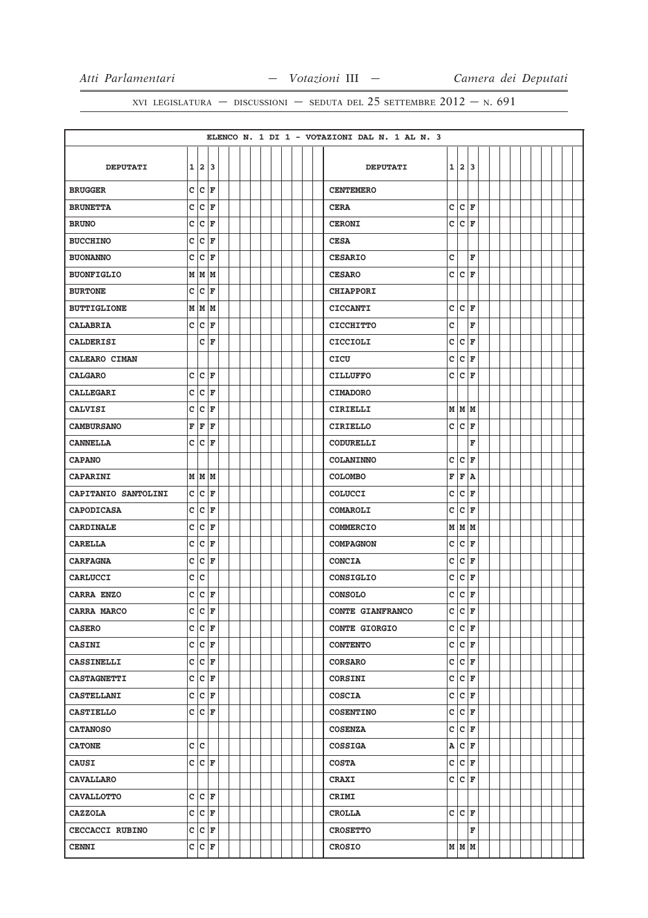|                     |   |              |                       |  |  |  |  |  | ELENCO N. 1 DI 1 - VOTAZIONI DAL N. 1 AL N. 3 |   |                    |    |  |  |  |  |  |
|---------------------|---|--------------|-----------------------|--|--|--|--|--|-----------------------------------------------|---|--------------------|----|--|--|--|--|--|
|                     |   |              |                       |  |  |  |  |  |                                               |   |                    |    |  |  |  |  |  |
| <b>DEPUTATI</b>     |   |              | 1 2 3                 |  |  |  |  |  | <b>DEPUTATI</b>                               |   | 1 2                | 13 |  |  |  |  |  |
| <b>BRUGGER</b>      |   |              | C C F                 |  |  |  |  |  | <b>CENTEMERO</b>                              |   |                    |    |  |  |  |  |  |
| <b>BRUNETTA</b>     | c |              | $ c _{\mathbf{F}}$    |  |  |  |  |  | <b>CERA</b>                                   | c | c                  | F  |  |  |  |  |  |
| <b>BRUNO</b>        | c | c            | F                     |  |  |  |  |  | <b>CERONI</b>                                 | c | c                  | F  |  |  |  |  |  |
| <b>BUCCHINO</b>     | c |              | $ {\tt C}\> _{\tt F}$ |  |  |  |  |  | <b>CESA</b>                                   |   |                    |    |  |  |  |  |  |
| <b>BUONANNO</b>     | c | c            | l F                   |  |  |  |  |  | <b>CESARIO</b>                                | c |                    | F  |  |  |  |  |  |
| <b>BUONFIGLIO</b>   |   |              | MMM                   |  |  |  |  |  | <b>CESARO</b>                                 | c | c                  | F  |  |  |  |  |  |
| <b>BURTONE</b>      | c | c            | F                     |  |  |  |  |  | <b>CHIAPPORI</b>                              |   |                    |    |  |  |  |  |  |
| <b>BUTTIGLIONE</b>  |   |              | M   M   M             |  |  |  |  |  | <b>CICCANTI</b>                               | c | lc.                | F  |  |  |  |  |  |
| <b>CALABRIA</b>     |   |              | C C F                 |  |  |  |  |  | <b>CICCHITTO</b>                              | C |                    | F  |  |  |  |  |  |
| <b>CALDERISI</b>    |   | c            | F                     |  |  |  |  |  | <b>CICCIOLI</b>                               | c | c                  | F  |  |  |  |  |  |
| CALEARO CIMAN       |   |              |                       |  |  |  |  |  | CICU                                          | с | c                  | F  |  |  |  |  |  |
| <b>CALGARO</b>      | C |              | $ {\tt C}\> _{\tt F}$ |  |  |  |  |  | <b>CILLUFFO</b>                               | C | c                  | F  |  |  |  |  |  |
| <b>CALLEGARI</b>    | c | c            | F                     |  |  |  |  |  | <b>CIMADORO</b>                               |   |                    |    |  |  |  |  |  |
| <b>CALVISI</b>      | c |              | $ {\tt C}  {\tt F}$   |  |  |  |  |  | CIRIELLI                                      |   | M M M              |    |  |  |  |  |  |
| <b>CAMBURSANO</b>   | F | F            | F                     |  |  |  |  |  | <b>CIRIELLO</b>                               | c | c                  | F  |  |  |  |  |  |
| <b>CANNELLA</b>     |   |              | C C F                 |  |  |  |  |  | CODURELLI                                     |   |                    | F  |  |  |  |  |  |
| <b>CAPANO</b>       |   |              |                       |  |  |  |  |  | <b>COLANINNO</b>                              | c | c                  | F  |  |  |  |  |  |
| <b>CAPARINI</b>     |   |              | M   M   M             |  |  |  |  |  | <b>COLOMBO</b>                                | F | F                  | ١A |  |  |  |  |  |
| CAPITANIO SANTOLINI | c |              | $ c _{\mathbf{F}}$    |  |  |  |  |  | COLUCCI                                       | c | c                  | F  |  |  |  |  |  |
| <b>CAPODICASA</b>   | c | c            | F                     |  |  |  |  |  | <b>COMAROLI</b>                               | c | lc.                | F  |  |  |  |  |  |
| <b>CARDINALE</b>    | c | c            | F                     |  |  |  |  |  | <b>COMMERCIO</b>                              |   | M   M   M          |    |  |  |  |  |  |
| <b>CARELLA</b>      | c | $\mathtt{C}$ | F                     |  |  |  |  |  | <b>COMPAGNON</b>                              | c | c                  | F  |  |  |  |  |  |
| <b>CARFAGNA</b>     |   |              | C C F                 |  |  |  |  |  | <b>CONCIA</b>                                 | c | c                  | F  |  |  |  |  |  |
| <b>CARLUCCI</b>     |   | c c          |                       |  |  |  |  |  | CONSIGLIO                                     | c | c                  | F  |  |  |  |  |  |
| CARRA ENZO          | C |              | $ c $ F               |  |  |  |  |  | <b>CONSOLO</b>                                | c | c                  | F  |  |  |  |  |  |
| CARRA MARCO         |   |              | $c c _F$              |  |  |  |  |  | CONTE GIANFRANCO                              | c | $\mathtt{C}$       | F  |  |  |  |  |  |
| <b>CASERO</b>       |   |              | C C F                 |  |  |  |  |  | <b>CONTE GIORGIO</b>                          |   | C C F              |    |  |  |  |  |  |
| <b>CASINI</b>       |   |              | C C F                 |  |  |  |  |  | <b>CONTENTO</b>                               |   | C C F              |    |  |  |  |  |  |
| <b>CASSINELLI</b>   |   |              | C C F                 |  |  |  |  |  | <b>CORSARO</b>                                | c | $ c _{\mathbf{F}}$ |    |  |  |  |  |  |
| <b>CASTAGNETTI</b>  |   |              | C C F                 |  |  |  |  |  | CORSINI                                       |   | C C F              |    |  |  |  |  |  |
| <b>CASTELLANI</b>   |   |              | C C F                 |  |  |  |  |  | <b>COSCIA</b>                                 | c | c                  | F  |  |  |  |  |  |
| <b>CASTIELLO</b>    |   |              | C C F                 |  |  |  |  |  | <b>COSENTINO</b>                              | С | $ c _{\mathbf{F}}$ |    |  |  |  |  |  |
| <b>CATANOSO</b>     |   |              |                       |  |  |  |  |  | <b>COSENZA</b>                                | c | $ c _F$            |    |  |  |  |  |  |
| <b>CATONE</b>       |   | c c          |                       |  |  |  |  |  | <b>COSSIGA</b>                                |   | A C F              |    |  |  |  |  |  |
| <b>CAUSI</b>        |   |              | C C F                 |  |  |  |  |  | <b>COSTA</b>                                  | с | C F                |    |  |  |  |  |  |
| <b>CAVALLARO</b>    |   |              |                       |  |  |  |  |  | <b>CRAXI</b>                                  |   | CCF                |    |  |  |  |  |  |
| <b>CAVALLOTTO</b>   |   |              | C C F                 |  |  |  |  |  | CRIMI                                         |   |                    |    |  |  |  |  |  |
| <b>CAZZOLA</b>      |   |              | C C F                 |  |  |  |  |  | <b>CROLLA</b>                                 |   | c c                | F  |  |  |  |  |  |
| CECCACCI RUBINO     |   |              | C C F                 |  |  |  |  |  | <b>CROSETTO</b>                               |   |                    | F  |  |  |  |  |  |
| <b>CENNI</b>        |   |              | C C F                 |  |  |  |  |  | <b>CROSIO</b>                                 |   | M M M              |    |  |  |  |  |  |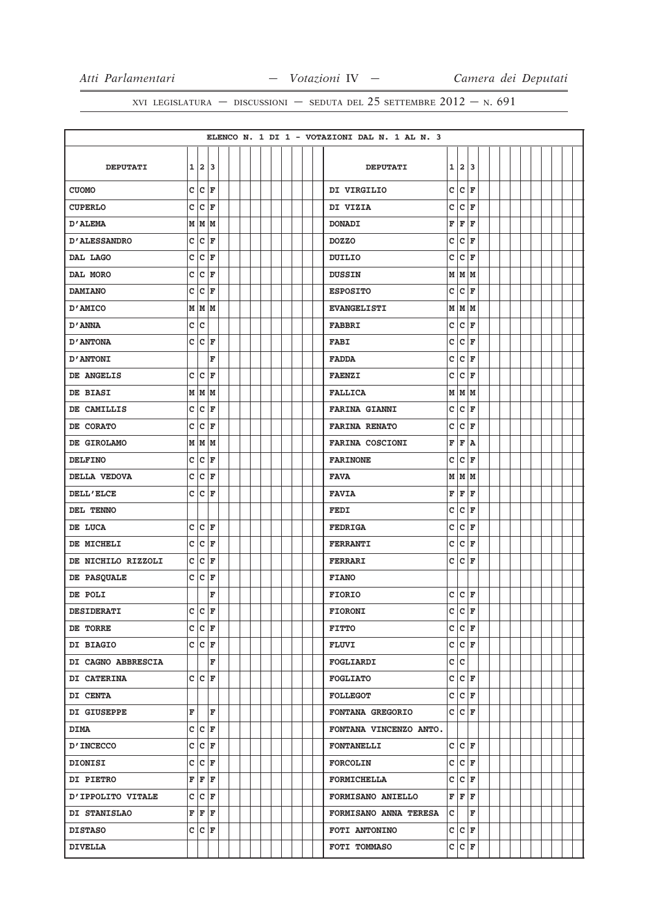|                     |              |                         |                    |  |  |  |  |  | ELENCO N. 1 DI 1 - VOTAZIONI DAL N. 1 AL N. 3 |              |                      |       |  |  |  |  |  |
|---------------------|--------------|-------------------------|--------------------|--|--|--|--|--|-----------------------------------------------|--------------|----------------------|-------|--|--|--|--|--|
|                     |              |                         |                    |  |  |  |  |  |                                               |              |                      |       |  |  |  |  |  |
| <b>DEPUTATI</b>     |              |                         | 1 2 3              |  |  |  |  |  | <b>DEPUTATI</b>                               |              | 1 2 3                |       |  |  |  |  |  |
| <b>CUOMO</b>        |              |                         | C C F              |  |  |  |  |  | DI VIRGILIO                                   | $\mathbf{C}$ | c                    | F     |  |  |  |  |  |
| <b>CUPERLO</b>      | c            |                         | $ c _{\mathbf{F}}$ |  |  |  |  |  | DI VIZIA                                      | c            | $ c _{\mathbf{F}}$   |       |  |  |  |  |  |
| <b>D'ALEMA</b>      |              |                         | M   M   M          |  |  |  |  |  | <b>DONADI</b>                                 | F            | F                    | F     |  |  |  |  |  |
| <b>D'ALESSANDRO</b> | c            |                         | $ c _F$            |  |  |  |  |  | <b>DOZZO</b>                                  | c            | $ c $ F              |       |  |  |  |  |  |
| DAL LAGO            | c            | c                       | F                  |  |  |  |  |  | DUILIO                                        | c            | c                    | F     |  |  |  |  |  |
| DAL MORO            | c            |                         | $ c _F$            |  |  |  |  |  | <b>DUSSIN</b>                                 |              | $M$ $M$ $M$          |       |  |  |  |  |  |
| <b>DAMIANO</b>      | c            |                         | $ c _{\mathbf{F}}$ |  |  |  |  |  | <b>ESPOSITO</b>                               | $\mathbf{C}$ | $ c $ F              |       |  |  |  |  |  |
| D'AMICO             |              |                         | M   M   M          |  |  |  |  |  | <b>EVANGELISTI</b>                            |              | M M M                |       |  |  |  |  |  |
| D'ANNA              |              | c c                     |                    |  |  |  |  |  | <b>FABBRI</b>                                 | c            | $ c _{\mathbf{F}}$   |       |  |  |  |  |  |
| <b>D'ANTONA</b>     | c            |                         | $ c _F$            |  |  |  |  |  | <b>FABI</b>                                   | c            | c                    | F     |  |  |  |  |  |
| <b>D'ANTONI</b>     |              |                         | F                  |  |  |  |  |  | <b>FADDA</b>                                  | c            | $ c $ F              |       |  |  |  |  |  |
| DE ANGELIS          | c            | c                       | F                  |  |  |  |  |  | <b>FAENZI</b>                                 | c            | c                    | F     |  |  |  |  |  |
| DE BIASI            |              |                         | MMM                |  |  |  |  |  | <b>FALLICA</b>                                |              | M   M   M            |       |  |  |  |  |  |
| DE CAMILLIS         | $\mathbf{C}$ |                         | $ c _{\mathbf{F}}$ |  |  |  |  |  | <b>FARINA GIANNI</b>                          | C            | c                    | F     |  |  |  |  |  |
| DE CORATO           | $\mathbf{C}$ | c                       | F                  |  |  |  |  |  | <b>FARINA RENATO</b>                          | c            | c                    | l F   |  |  |  |  |  |
| DE GIROLAMO         | M            |                         | MM                 |  |  |  |  |  | <b>FARINA COSCIONI</b>                        | F            | F                    | ١A    |  |  |  |  |  |
| <b>DELFINO</b>      | c            | $\overline{\mathsf{c}}$ | F                  |  |  |  |  |  | <b>FARINONE</b>                               | c            | lc.                  | F     |  |  |  |  |  |
| DELLA VEDOVA        | c            |                         | $ c _{\mathbf{F}}$ |  |  |  |  |  | <b>FAVA</b>                                   |              | $M$ $M$ $M$          |       |  |  |  |  |  |
| DELL'ELCE           | c            |                         | $ {\tt c} $ F      |  |  |  |  |  | <b>FAVIA</b>                                  | F            | F                    | F     |  |  |  |  |  |
| DEL TENNO           |              |                         |                    |  |  |  |  |  | FEDI                                          | c            | c                    | F     |  |  |  |  |  |
| DE LUCA             |              |                         | C C F              |  |  |  |  |  | <b>FEDRIGA</b>                                | c            | lc.                  | F     |  |  |  |  |  |
| DE MICHELI          | $\mathbf{C}$ |                         | $ c $ F            |  |  |  |  |  | <b>FERRANTI</b>                               | c            | c                    | F     |  |  |  |  |  |
| DE NICHILO RIZZOLI  |              |                         | C C F              |  |  |  |  |  | <b>FERRARI</b>                                | c            | $ c _F$              |       |  |  |  |  |  |
| DE PASQUALE         | c            |                         | C F                |  |  |  |  |  | <b>FIANO</b>                                  |              |                      |       |  |  |  |  |  |
| DE POLI             |              |                         | F                  |  |  |  |  |  | <b>FIORIO</b>                                 | c            | $ c _{\mathbf{F}}$   |       |  |  |  |  |  |
| <b>DESIDERATI</b>   |              |                         | $c c _F$           |  |  |  |  |  | <b>FIORONI</b>                                | c            | c                    | F     |  |  |  |  |  |
| DE TORRE            |              |                         | C C F              |  |  |  |  |  | <b>FITTO</b>                                  |              | C C F                |       |  |  |  |  |  |
| DI BIAGIO           |              |                         | C C F              |  |  |  |  |  | <b>FLUVI</b>                                  |              | C C F                |       |  |  |  |  |  |
| DI CAGNO ABBRESCIA  |              |                         | F                  |  |  |  |  |  | <b>FOGLIARDI</b>                              |              | c c                  |       |  |  |  |  |  |
| DI CATERINA         |              |                         | C C F              |  |  |  |  |  | <b>FOGLIATO</b>                               |              | C C F                |       |  |  |  |  |  |
| DI CENTA            |              |                         |                    |  |  |  |  |  | <b>FOLLEGOT</b>                               | c            | $ {\bf C}  {\bf F} $ |       |  |  |  |  |  |
| DI GIUSEPPE         | F            |                         | lF.                |  |  |  |  |  | FONTANA GREGORIO                              |              | C C F                |       |  |  |  |  |  |
| <b>DIMA</b>         |              |                         | C C F              |  |  |  |  |  | FONTANA VINCENZO ANTO.                        |              |                      |       |  |  |  |  |  |
| <b>D'INCECCO</b>    |              |                         | C C F              |  |  |  |  |  | <b>FONTANELLI</b>                             |              | C C F                |       |  |  |  |  |  |
| DIONISI             |              |                         | C C F              |  |  |  |  |  | <b>FORCOLIN</b>                               | c            | C F                  |       |  |  |  |  |  |
| <b>DI PIETRO</b>    |              |                         | F F F              |  |  |  |  |  | <b>FORMICHELLA</b>                            |              |                      | C C F |  |  |  |  |  |
| D'IPPOLITO VITALE   |              |                         | C C F              |  |  |  |  |  | <b>FORMISANO ANIELLO</b>                      |              | F F F                |       |  |  |  |  |  |
| DI STANISLAO        |              |                         | F F F              |  |  |  |  |  | FORMISANO ANNA TERESA                         | c            |                      | F     |  |  |  |  |  |
| <b>DISTASO</b>      |              |                         | C C F              |  |  |  |  |  | FOTI ANTONINO                                 |              | C C F                |       |  |  |  |  |  |
| <b>DIVELLA</b>      |              |                         |                    |  |  |  |  |  | FOTI TOMMASO                                  |              | C C F                |       |  |  |  |  |  |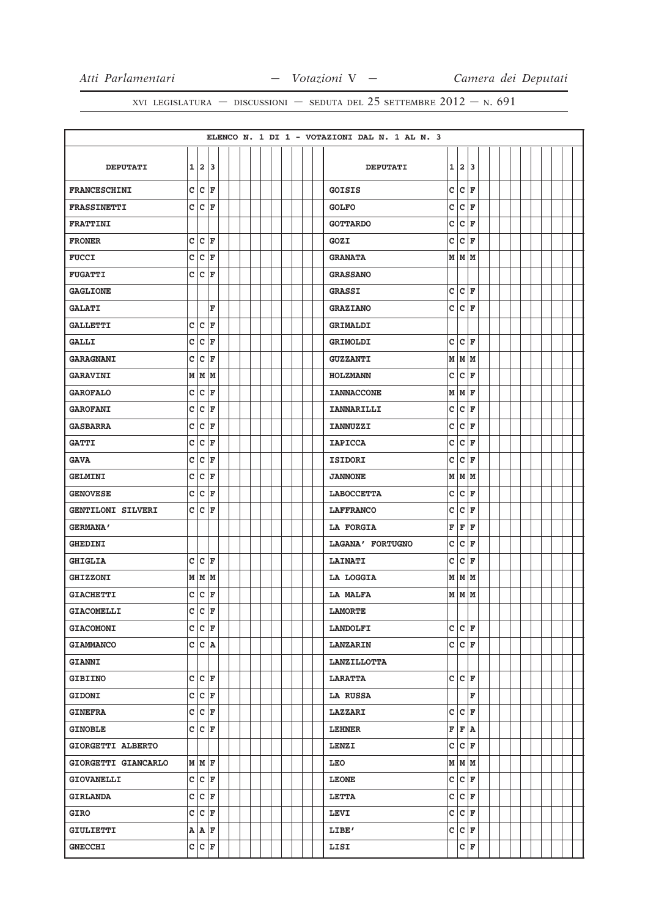|                     |              |          |                       |  |  |  |  |  | ELENCO N. 1 DI 1 - VOTAZIONI DAL N. 1 AL N. 3 |              |                      |         |  |  |  |  |  |
|---------------------|--------------|----------|-----------------------|--|--|--|--|--|-----------------------------------------------|--------------|----------------------|---------|--|--|--|--|--|
|                     |              |          |                       |  |  |  |  |  |                                               |              |                      |         |  |  |  |  |  |
| <b>DEPUTATI</b>     |              | 1 2 3    |                       |  |  |  |  |  | <b>DEPUTATI</b>                               |              | 1 2 3                |         |  |  |  |  |  |
| <b>FRANCESCHINI</b> |              | C C F    |                       |  |  |  |  |  | <b>GOISIS</b>                                 | c            | lc.                  | F       |  |  |  |  |  |
| <b>FRASSINETTI</b>  |              |          | C C F                 |  |  |  |  |  | <b>GOLFO</b>                                  | C            | c                    | F       |  |  |  |  |  |
| <b>FRATTINI</b>     |              |          |                       |  |  |  |  |  | <b>GOTTARDO</b>                               | c            | c                    | F       |  |  |  |  |  |
| <b>FRONER</b>       |              |          | C C F                 |  |  |  |  |  | GOZI                                          | c            | $ {\bf C}  {\bf F} $ |         |  |  |  |  |  |
| <b>FUCCI</b>        | c            |          | C F                   |  |  |  |  |  | <b>GRANATA</b>                                |              | MMM                  |         |  |  |  |  |  |
| <b>FUGATTI</b>      |              | C C F    |                       |  |  |  |  |  | <b>GRASSANO</b>                               |              |                      |         |  |  |  |  |  |
| <b>GAGLIONE</b>     |              |          |                       |  |  |  |  |  | <b>GRASSI</b>                                 | c            |                      | $ c $ F |  |  |  |  |  |
| <b>GALATI</b>       |              |          | F                     |  |  |  |  |  | <b>GRAZIANO</b>                               | c            | $ {\bf C}  {\bf F} $ |         |  |  |  |  |  |
| <b>GALLETTI</b>     |              | C C F    |                       |  |  |  |  |  | GRIMALDI                                      |              |                      |         |  |  |  |  |  |
| <b>GALLI</b>        | c            | c        | F                     |  |  |  |  |  | GRIMOLDI                                      | c            | c                    | F       |  |  |  |  |  |
| <b>GARAGNANI</b>    | c            |          | $ {\tt C}\> $ F       |  |  |  |  |  | <b>GUZZANTI</b>                               |              | M M M                |         |  |  |  |  |  |
| <b>GARAVINI</b>     | М            |          | MM                    |  |  |  |  |  | <b>HOLZMANN</b>                               | $\mathtt{C}$ | c                    | F       |  |  |  |  |  |
| <b>GAROFALO</b>     | $\mathbf{C}$ |          | $ {\tt c} $ F         |  |  |  |  |  | <b>IANNACCONE</b>                             |              | $M \vert M \vert_F$  |         |  |  |  |  |  |
| <b>GAROFANI</b>     | c            |          | $ C $ F               |  |  |  |  |  | <b>IANNARILLI</b>                             | c            | $ {\bf C}  {\bf F} $ |         |  |  |  |  |  |
| <b>GASBARRA</b>     | c            | c        | F                     |  |  |  |  |  | <b>IANNUZZI</b>                               | C            | c                    | F       |  |  |  |  |  |
| <b>GATTI</b>        |              | C C F    |                       |  |  |  |  |  | <b>IAPICCA</b>                                | c            | $ {\bf C}  {\bf F} $ |         |  |  |  |  |  |
| <b>GAVA</b>         | c            | c        | F                     |  |  |  |  |  | ISIDORI                                       | c            | c                    | F       |  |  |  |  |  |
| <b>GELMINI</b>      | c            |          | $ {\tt C}\> _{\tt F}$ |  |  |  |  |  | <b>JANNONE</b>                                |              | M M M                |         |  |  |  |  |  |
| <b>GENOVESE</b>     | c            |          | C F                   |  |  |  |  |  | <b>LABOCCETTA</b>                             | $\mathtt{C}$ | $\mathtt{C}$         | F       |  |  |  |  |  |
| GENTILONI SILVERI   |              | C C F    |                       |  |  |  |  |  | <b>LAFFRANCO</b>                              | c            | $\mathtt{c}$         | F       |  |  |  |  |  |
| <b>GERMANA'</b>     |              |          |                       |  |  |  |  |  | LA FORGIA                                     | F            | F F                  |         |  |  |  |  |  |
| <b>GHEDINI</b>      |              |          |                       |  |  |  |  |  | LAGANA' FORTUGNO                              | C            | c                    | F       |  |  |  |  |  |
| <b>GHIGLIA</b>      |              |          | C C F                 |  |  |  |  |  | <b>LAINATI</b>                                | c            | $ {\bf C}  {\bf F} $ |         |  |  |  |  |  |
| <b>GHIZZONI</b>     |              |          | M   M   M             |  |  |  |  |  | LA LOGGIA                                     |              | M   M   M            |         |  |  |  |  |  |
| <b>GIACHETTI</b>    | c            |          | $ c $ F               |  |  |  |  |  | <b>LA MALFA</b>                               |              | M M M                |         |  |  |  |  |  |
| <b>GIACOMELLI</b>   |              | $c c _F$ |                       |  |  |  |  |  | <b>LAMORTE</b>                                |              |                      |         |  |  |  |  |  |
| <b>GIACOMONI</b>    |              |          | C C F                 |  |  |  |  |  | <b>LANDOLFI</b>                               |              | C C F                |         |  |  |  |  |  |
| <b>GIAMMANCO</b>    |              |          | C C A                 |  |  |  |  |  | <b>LANZARIN</b>                               |              | C C F                |         |  |  |  |  |  |
| <b>GIANNI</b>       |              |          |                       |  |  |  |  |  | <b>LANZILLOTTA</b>                            |              |                      |         |  |  |  |  |  |
| <b>GIBIINO</b>      |              |          | C C F                 |  |  |  |  |  | <b>LARATTA</b>                                |              | C C F                |         |  |  |  |  |  |
| <b>GIDONI</b>       |              |          | C C F                 |  |  |  |  |  | LA RUSSA                                      |              |                      | F       |  |  |  |  |  |
| <b>GINEFRA</b>      |              |          | C C F                 |  |  |  |  |  | <b>LAZZARI</b>                                | c            |                      | $ c $ F |  |  |  |  |  |
| <b>GINOBLE</b>      |              |          | C C F                 |  |  |  |  |  | <b>LEHNER</b>                                 |              | F F A                |         |  |  |  |  |  |
| GIORGETTI ALBERTO   |              |          |                       |  |  |  |  |  | LENZI                                         |              | C C F                |         |  |  |  |  |  |
| GIORGETTI GIANCARLO |              |          | MMF                   |  |  |  |  |  | LEO                                           |              |                      | $M$ $M$ |  |  |  |  |  |
| <b>GIOVANELLI</b>   |              |          | C C F                 |  |  |  |  |  | <b>LEONE</b>                                  |              | C C F                |         |  |  |  |  |  |
| <b>GIRLANDA</b>     |              |          | C C F                 |  |  |  |  |  | <b>LETTA</b>                                  |              | C C F                |         |  |  |  |  |  |
| <b>GIRO</b>         |              |          | C C F                 |  |  |  |  |  | <b>LEVI</b>                                   |              | C C F                |         |  |  |  |  |  |
| GIULIETTI           |              |          | A   A   F             |  |  |  |  |  | LIBE'                                         |              | C C F                |         |  |  |  |  |  |
| <b>GNECCHI</b>      |              |          | C C F                 |  |  |  |  |  | LISI                                          |              |                      | C F     |  |  |  |  |  |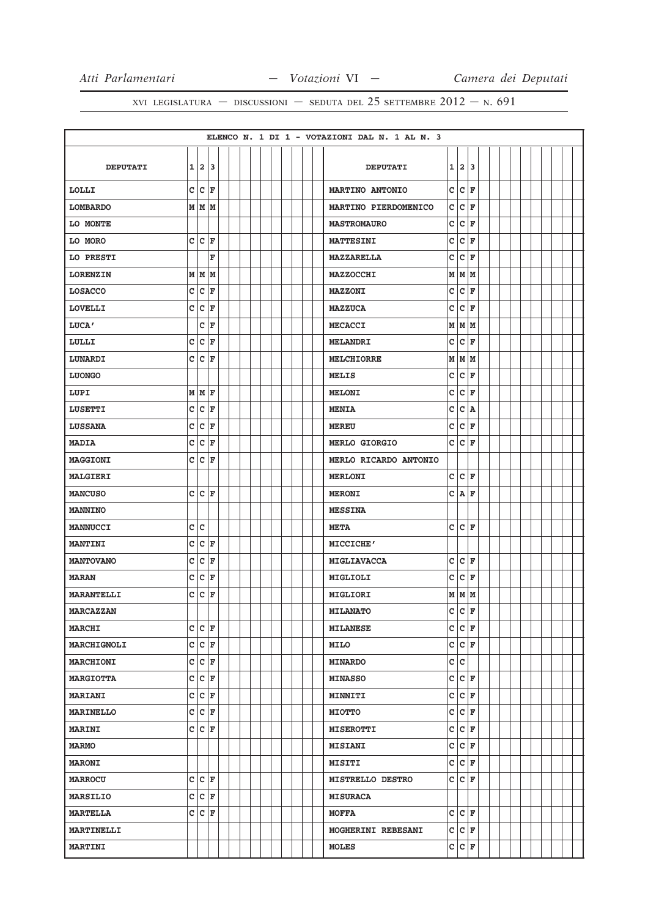|                   |              |                         |                    |  |  |  |  |  | ELENCO N. 1 DI 1 - VOTAZIONI DAL N. 1 AL N. 3 |   |                    |         |  |  |  |  |  |
|-------------------|--------------|-------------------------|--------------------|--|--|--|--|--|-----------------------------------------------|---|--------------------|---------|--|--|--|--|--|
|                   |              |                         |                    |  |  |  |  |  |                                               |   |                    |         |  |  |  |  |  |
| <b>DEPUTATI</b>   | $\mathbf{1}$ |                         | 23                 |  |  |  |  |  | <b>DEPUTATI</b>                               |   | 1 2 3              |         |  |  |  |  |  |
| LOLLI             | c            |                         | $ c _F$            |  |  |  |  |  | <b>MARTINO ANTONIO</b>                        | C | c                  | F       |  |  |  |  |  |
| <b>LOMBARDO</b>   | М            |                         | MM                 |  |  |  |  |  | MARTINO PIERDOMENICO                          | c | lc.                | F       |  |  |  |  |  |
| LO MONTE          |              |                         |                    |  |  |  |  |  | <b>MASTROMAURO</b>                            | c | lc.                | F       |  |  |  |  |  |
| LO MORO           |              |                         | C C F              |  |  |  |  |  | <b>MATTESINI</b>                              | C | $ c $ F            |         |  |  |  |  |  |
| LO PRESTI         |              |                         | F                  |  |  |  |  |  | <b>MAZZARELLA</b>                             | c | c                  | F       |  |  |  |  |  |
| <b>LORENZIN</b>   |              |                         | $M$ $M$ $M$        |  |  |  |  |  | <b>MAZZOCCHI</b>                              | M | MM                 |         |  |  |  |  |  |
| <b>LOSACCO</b>    | C            | C                       | F                  |  |  |  |  |  | <b>MAZZONI</b>                                | c | c                  | F       |  |  |  |  |  |
| <b>LOVELLI</b>    | $\mathbf{C}$ | c                       | F                  |  |  |  |  |  | <b>MAZZUCA</b>                                | c | c                  | F       |  |  |  |  |  |
| LUCA'             |              | с                       | F                  |  |  |  |  |  | <b>MECACCI</b>                                |   | M   M   M          |         |  |  |  |  |  |
| LULLI             | c            | c                       | F                  |  |  |  |  |  | <b>MELANDRI</b>                               | c | c                  | F       |  |  |  |  |  |
| LUNARDI           | $\mathbf C$  |                         | $ c _{\mathbf{F}}$ |  |  |  |  |  | <b>MELCHIORRE</b>                             |   | $M$ $M$ $M$        |         |  |  |  |  |  |
| <b>LUONGO</b>     |              |                         |                    |  |  |  |  |  | <b>MELIS</b>                                  | c | c                  | F       |  |  |  |  |  |
| LUPI              |              |                         | $M \mid M \mid F$  |  |  |  |  |  | <b>MELONI</b>                                 | с | c                  | F       |  |  |  |  |  |
| <b>LUSETTI</b>    | C            | C                       | F                  |  |  |  |  |  | <b>MENIA</b>                                  | c | c                  | A       |  |  |  |  |  |
| <b>LUSSANA</b>    | c            | c                       | F                  |  |  |  |  |  | <b>MEREU</b>                                  | c | lc.                | ΙF      |  |  |  |  |  |
| <b>MADIA</b>      | с            | $\mathtt{C}$            | F                  |  |  |  |  |  | MERLO GIORGIO                                 | c | lc.                | F       |  |  |  |  |  |
| <b>MAGGIONI</b>   | c            | c                       | ΙF                 |  |  |  |  |  | MERLO RICARDO ANTONIO                         |   |                    |         |  |  |  |  |  |
| <b>MALGIERI</b>   |              |                         |                    |  |  |  |  |  | <b>MERLONI</b>                                |   | C C F              |         |  |  |  |  |  |
| <b>MANCUSO</b>    | c            |                         | $ C $ F            |  |  |  |  |  | <b>MERONI</b>                                 | c | A                  | F       |  |  |  |  |  |
| <b>MANNINO</b>    |              |                         |                    |  |  |  |  |  | <b>MESSINA</b>                                |   |                    |         |  |  |  |  |  |
| <b>MANNUCCI</b>   | c            | $\overline{\mathsf{c}}$ |                    |  |  |  |  |  | <b>META</b>                                   | c | lc.                | F       |  |  |  |  |  |
| <b>MANTINI</b>    | c            | c                       | F                  |  |  |  |  |  | MICCICHE'                                     |   |                    |         |  |  |  |  |  |
| <b>MANTOVANO</b>  | C            | c                       | F                  |  |  |  |  |  | MIGLIAVACCA                                   | c | c                  | F       |  |  |  |  |  |
| <b>MARAN</b>      | c            | c                       | F                  |  |  |  |  |  | MIGLIOLI                                      | C | c                  | F       |  |  |  |  |  |
| <b>MARANTELLI</b> | C            | c                       | F                  |  |  |  |  |  | MIGLIORI                                      | M | MM                 |         |  |  |  |  |  |
| <b>MARCAZZAN</b>  |              |                         |                    |  |  |  |  |  | <b>MILANATO</b>                               | c | lc.                | F       |  |  |  |  |  |
| <b>MARCHI</b>     |              |                         | C C F              |  |  |  |  |  | <b>MILANESE</b>                               | c | $ C $ F            |         |  |  |  |  |  |
| MARCHIGNOLI       | c            |                         | $ c _{\mathbf{F}}$ |  |  |  |  |  | <b>MILO</b>                                   | c | $ c _F$            |         |  |  |  |  |  |
| <b>MARCHIONI</b>  | $\mathbf c$  |                         | $ c _{\mathbf{F}}$ |  |  |  |  |  | <b>MINARDO</b>                                | c | c                  |         |  |  |  |  |  |
| <b>MARGIOTTA</b>  | c            |                         | $ c _{\mathbf{F}}$ |  |  |  |  |  | <b>MINASSO</b>                                | c | C F                |         |  |  |  |  |  |
| <b>MARIANI</b>    | $\mathbf C$  |                         | $ c _{\mathbf{F}}$ |  |  |  |  |  | <b>MINNITI</b>                                | c | $ C $ F            |         |  |  |  |  |  |
| <b>MARINELLO</b>  | c            |                         | $ c _{\mathbf{F}}$ |  |  |  |  |  | <b>MIOTTO</b>                                 | с | $ C $ F            |         |  |  |  |  |  |
| <b>MARINI</b>     | c            |                         | C F                |  |  |  |  |  | <b>MISEROTTI</b>                              | c | c                  | F       |  |  |  |  |  |
| <b>MARMO</b>      |              |                         |                    |  |  |  |  |  | <b>MISIANI</b>                                | c | $ c _{\mathbf{F}}$ |         |  |  |  |  |  |
| <b>MARONI</b>     |              |                         |                    |  |  |  |  |  | <b>MISITI</b>                                 | c |                    | $ c $ F |  |  |  |  |  |
| <b>MARROCU</b>    |              |                         | C C F              |  |  |  |  |  | <b>MISTRELLO DESTRO</b>                       | c | $ C $ F            |         |  |  |  |  |  |
| <b>MARSILIO</b>   |              |                         | C C F              |  |  |  |  |  | <b>MISURACA</b>                               |   |                    |         |  |  |  |  |  |
| <b>MARTELLA</b>   | c            |                         | $ {\tt C} $ F      |  |  |  |  |  | <b>MOFFA</b>                                  | c | $ C $ F            |         |  |  |  |  |  |
| <b>MARTINELLI</b> |              |                         |                    |  |  |  |  |  | MOGHERINI REBESANI                            | c | C F                |         |  |  |  |  |  |
| <b>MARTINI</b>    |              |                         |                    |  |  |  |  |  | <b>MOLES</b>                                  | С | c                  | F       |  |  |  |  |  |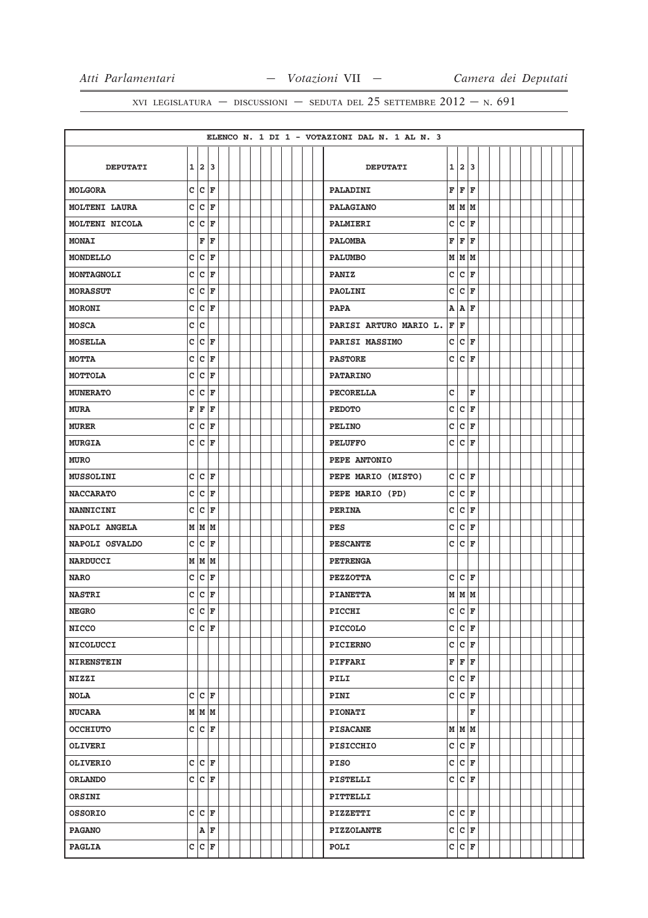|                   |   |     |                                                 |  |  |  |  | ELENCO N. 1 DI 1 - VOTAZIONI DAL N. 1 AL N. 3              |  |
|-------------------|---|-----|-------------------------------------------------|--|--|--|--|------------------------------------------------------------|--|
|                   |   |     |                                                 |  |  |  |  |                                                            |  |
| <b>DEPUTATI</b>   |   |     | $1 \mid 2 \mid 3$                               |  |  |  |  | 1 2 3<br><b>DEPUTATI</b>                                   |  |
| <b>MOLGORA</b>    |   |     | C C F                                           |  |  |  |  | F<br>F<br>F<br>PALADINI                                    |  |
| MOLTENI LAURA     |   |     | C C F                                           |  |  |  |  | M M M<br><b>PALAGIANO</b>                                  |  |
| MOLTENI NICOLA    |   |     | C C F                                           |  |  |  |  | c<br>c<br>F<br>PALMIERI                                    |  |
| <b>MONAI</b>      |   |     | F F                                             |  |  |  |  | F<br>F<br>ΙF<br><b>PALOMBA</b>                             |  |
| <b>MONDELLO</b>   | c |     | $ c _{\mathbf{F}}$                              |  |  |  |  | M<br>M<br>lм<br><b>PALUMBO</b>                             |  |
| MONTAGNOLI        |   |     | $c c _F$                                        |  |  |  |  | c<br>c<br>F<br><b>PANIZ</b>                                |  |
| <b>MORASSUT</b>   |   |     | C C F                                           |  |  |  |  | c<br>c<br>F<br>PAOLINI                                     |  |
| <b>MORONI</b>     |   |     | C C F                                           |  |  |  |  | AA<br><b>PAPA</b><br>ΙF                                    |  |
| <b>MOSCA</b>      |   | c c |                                                 |  |  |  |  | F F<br>PARISI ARTURO MARIO L.                              |  |
| <b>MOSELLA</b>    | c | c   | F                                               |  |  |  |  | c<br>c<br>F<br>PARISI MASSIMO                              |  |
| <b>MOTTA</b>      |   |     | C C F                                           |  |  |  |  | c.<br>c<br>F<br><b>PASTORE</b>                             |  |
| <b>MOTTOLA</b>    | c | c   | ΙF                                              |  |  |  |  | <b>PATARINO</b>                                            |  |
| <b>MUNERATO</b>   |   |     | C C F                                           |  |  |  |  | c<br>$\mathbf F$<br><b>PECORELLA</b>                       |  |
| <b>MURA</b>       |   |     | F F F                                           |  |  |  |  | c<br>c<br>F<br><b>PEDOTO</b>                               |  |
| <b>MURER</b>      |   |     | C C F                                           |  |  |  |  | c<br>c<br>F<br><b>PELINO</b>                               |  |
| <b>MURGIA</b>     |   |     | C C F                                           |  |  |  |  | c<br> c<br>F<br><b>PELUFFO</b>                             |  |
| <b>MURO</b>       |   |     |                                                 |  |  |  |  | PEPE ANTONIO                                               |  |
| <b>MUSSOLINI</b>  |   |     | C C F                                           |  |  |  |  | $\mathbf{C}$<br>$ {\bf C}  {\bf F} $<br>PEPE MARIO (MISTO) |  |
| <b>NACCARATO</b>  | c |     | $ c _{\mathbf{F}}$                              |  |  |  |  | c<br>c<br>F<br>PEPE MARIO (PD)                             |  |
| <b>NANNICINI</b>  |   |     | $c c _F$                                        |  |  |  |  | c<br>c<br>F<br><b>PERINA</b>                               |  |
| NAPOLI ANGELA     |   |     | M   M   M                                       |  |  |  |  | c<br>$ {\bf C}  {\bf F} $<br><b>PES</b>                    |  |
| NAPOLI OSVALDO    |   |     | C C F                                           |  |  |  |  | lc.<br>c<br>F<br><b>PESCANTE</b>                           |  |
| <b>NARDUCCI</b>   |   |     | M   M   M                                       |  |  |  |  | <b>PETRENGA</b>                                            |  |
| <b>NARO</b>       |   |     | C C F                                           |  |  |  |  | c<br>c<br>F<br><b>PEZZOTTA</b>                             |  |
| <b>NASTRI</b>     |   |     | C C F                                           |  |  |  |  | $M$ $M$ $M$<br><b>PIANETTA</b>                             |  |
| <b>NEGRO</b>      |   |     | $c c _F$                                        |  |  |  |  | $\overline{c}$<br>c<br>F<br>PICCHI                         |  |
| <b>NICCO</b>      |   |     | C C F                                           |  |  |  |  | C C F<br><b>PICCOLO</b>                                    |  |
| <b>NICOLUCCI</b>  |   |     |                                                 |  |  |  |  | C C F<br><b>PICIERNO</b>                                   |  |
| <b>NIRENSTEIN</b> |   |     |                                                 |  |  |  |  | F<br>F<br>F<br><b>PIFFARI</b>                              |  |
| <b>NIZZI</b>      |   |     |                                                 |  |  |  |  | C C F<br>PILI                                              |  |
| <b>NOLA</b>       |   |     | C C F                                           |  |  |  |  | c<br> c<br>F<br>PINI                                       |  |
| <b>NUCARA</b>     |   |     | MMM                                             |  |  |  |  | F<br><b>PIONATI</b>                                        |  |
| <b>OCCHIUTO</b>   |   |     | $c c _F$                                        |  |  |  |  | M M M<br><b>PISACANE</b>                                   |  |
| OLIVERI           |   |     |                                                 |  |  |  |  | $c c _F$<br><b>PISICCHIO</b>                               |  |
| <b>OLIVERIO</b>   |   |     | C C F                                           |  |  |  |  | C C F<br>PISO                                              |  |
| <b>ORLANDO</b>    |   |     | C C F                                           |  |  |  |  | C C F<br>PISTELLI                                          |  |
| ORSINI            |   |     |                                                 |  |  |  |  | PITTELLI                                                   |  |
| <b>OSSORIO</b>    |   |     | C C F                                           |  |  |  |  | c c<br>F<br>PIZZETTI                                       |  |
| <b>PAGANO</b>     |   |     | $\overline{\mathtt{A}}$ $\overline{\mathtt{F}}$ |  |  |  |  | $ c _{\mathbf{F}}$<br>c<br><b>PIZZOLANTE</b>               |  |
| <b>PAGLIA</b>     |   |     | C C F                                           |  |  |  |  | C C F<br>POLI                                              |  |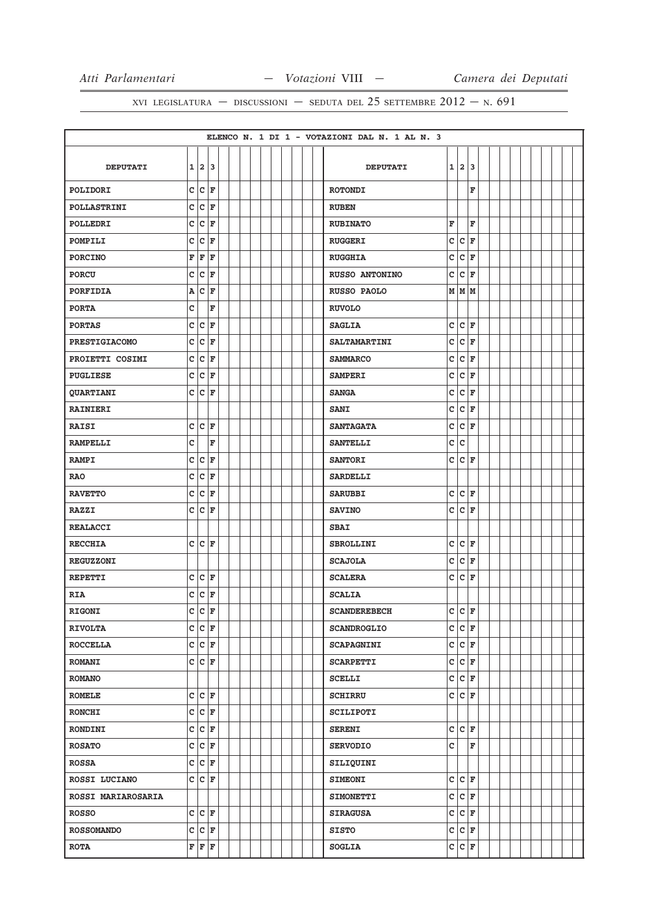|                           |   |   |                                                |  |  |  |  |  | ELENCO N. 1 DI 1 - VOTAZIONI DAL N. 1 AL N. 3 |    |                     |    |  |  |  |  |  |
|---------------------------|---|---|------------------------------------------------|--|--|--|--|--|-----------------------------------------------|----|---------------------|----|--|--|--|--|--|
|                           |   |   |                                                |  |  |  |  |  |                                               |    |                     |    |  |  |  |  |  |
| <b>DEPUTATI</b>           |   |   | 1 2 3                                          |  |  |  |  |  | <b>DEPUTATI</b>                               |    | 1 2                 | 13 |  |  |  |  |  |
| POLIDORI                  |   |   | C C F                                          |  |  |  |  |  | <b>ROTONDI</b>                                |    |                     | F  |  |  |  |  |  |
| POLLASTRINI               |   |   | C C F                                          |  |  |  |  |  | <b>RUBEN</b>                                  |    |                     |    |  |  |  |  |  |
| POLLEDRI                  | c |   | $ C $ F                                        |  |  |  |  |  | <b>RUBINATO</b>                               | F  |                     | F  |  |  |  |  |  |
| POMPILI                   |   |   | $c c _F$                                       |  |  |  |  |  | <b>RUGGERI</b>                                | c  | c                   | F  |  |  |  |  |  |
| <b>PORCINO</b>            | F | F | ١F                                             |  |  |  |  |  | <b>RUGGHIA</b>                                | c  | c                   | F  |  |  |  |  |  |
| <b>PORCU</b>              |   |   | $c c _F$                                       |  |  |  |  |  | <b>RUSSO ANTONINO</b>                         | c  | c                   | F  |  |  |  |  |  |
| PORFIDIA                  |   |   | A C F                                          |  |  |  |  |  | RUSSO PAOLO                                   |    | M M M               |    |  |  |  |  |  |
| <b>PORTA</b>              | c |   | F                                              |  |  |  |  |  | <b>RUVOLO</b>                                 |    |                     |    |  |  |  |  |  |
| <b>PORTAS</b>             |   |   | C C F                                          |  |  |  |  |  | <b>SAGLIA</b>                                 | c  | $ c $ F             |    |  |  |  |  |  |
| <b>PRESTIGIACOMO</b>      | c |   | $ c _{\mathbf{F}}$                             |  |  |  |  |  | <b>SALTAMARTINI</b>                           | c  | c                   | F  |  |  |  |  |  |
| PROIETTI COSIMI           |   |   | $c c _F$                                       |  |  |  |  |  | <b>SAMMARCO</b>                               | c  | c                   | F  |  |  |  |  |  |
| <b>PUGLIESE</b>           |   |   | $c c _F$                                       |  |  |  |  |  | <b>SAMPERI</b>                                | c  | c                   | F  |  |  |  |  |  |
| <b>QUARTIANI</b>          |   |   | C C F                                          |  |  |  |  |  | <b>SANGA</b>                                  | c  | c                   | ΙF |  |  |  |  |  |
| <b>RAINIERI</b>           |   |   |                                                |  |  |  |  |  | <b>SANI</b>                                   | c  | $ c $ F             |    |  |  |  |  |  |
| <b>RAISI</b>              |   |   | C C F                                          |  |  |  |  |  | <b>SANTAGATA</b>                              | c  | c                   | F  |  |  |  |  |  |
| <b>RAMPELLI</b>           | C |   | F                                              |  |  |  |  |  | <b>SANTELLI</b>                               | с  | lc.                 |    |  |  |  |  |  |
| <b>RAMPI</b>              | c |   | $ c $ F                                        |  |  |  |  |  | <b>SANTORI</b>                                | c  | c                   | F  |  |  |  |  |  |
| <b>RAO</b>                |   |   | $c c _F$                                       |  |  |  |  |  | <b>SARDELLI</b>                               |    |                     |    |  |  |  |  |  |
| <b>RAVETTO</b>            | c |   | $ c _F$                                        |  |  |  |  |  | <b>SARUBBI</b>                                | c  | c                   | F  |  |  |  |  |  |
| <b>RAZZI</b>              |   |   | CCF                                            |  |  |  |  |  | <b>SAVINO</b>                                 | c  | lc.                 | ΙF |  |  |  |  |  |
| <b>REALACCI</b>           |   |   |                                                |  |  |  |  |  | <b>SBAI</b>                                   |    |                     |    |  |  |  |  |  |
| <b>RECCHIA</b>            |   |   | C C F                                          |  |  |  |  |  | <b>SBROLLINI</b>                              | c  | c                   | F  |  |  |  |  |  |
| <b>REGUZZONI</b>          |   |   |                                                |  |  |  |  |  | <b>SCAJOLA</b>                                | с  | c                   | F  |  |  |  |  |  |
| <b>REPETTI</b>            |   |   | C C F                                          |  |  |  |  |  | <b>SCALERA</b>                                | c  | lc.                 | F  |  |  |  |  |  |
| <b>RIA</b>                |   |   | $c c _F$                                       |  |  |  |  |  | <b>SCALIA</b>                                 |    |                     |    |  |  |  |  |  |
| RIGONI                    |   |   | C   C   F                                      |  |  |  |  |  | <b>SCANDEREBECH</b>                           | Ċ. | lc.                 | F  |  |  |  |  |  |
| <b>RIVOLTA</b>            |   |   | C C F                                          |  |  |  |  |  | <b>SCANDROGLIO</b>                            |    | C C F               |    |  |  |  |  |  |
| <b>ROCCELLA</b>           |   |   | C C F                                          |  |  |  |  |  | <b>SCAPAGNINI</b>                             |    | C C F               |    |  |  |  |  |  |
| <b>ROMANI</b>             |   |   | C C F                                          |  |  |  |  |  | <b>SCARPETTI</b>                              |    | C C F               |    |  |  |  |  |  |
| <b>ROMANO</b>             |   |   |                                                |  |  |  |  |  | <b>SCELLI</b>                                 |    | $c c _{\mathbf{F}}$ |    |  |  |  |  |  |
| <b>ROMELE</b>             |   |   | $c c _{\mathbf{F}}$                            |  |  |  |  |  | <b>SCHIRRU</b>                                |    | C C F               |    |  |  |  |  |  |
| <b>RONCHI</b>             |   |   | $c c _F$                                       |  |  |  |  |  | <b>SCILIPOTI</b>                              |    |                     |    |  |  |  |  |  |
| <b>RONDINI</b>            |   |   | C C F                                          |  |  |  |  |  | <b>SERENI</b>                                 |    | $c c _F$            |    |  |  |  |  |  |
| <b>ROSATO</b>             |   |   | C C F                                          |  |  |  |  |  | <b>SERVODIO</b>                               | c  |                     | F  |  |  |  |  |  |
| <b>ROSSA</b>              |   |   | C C F                                          |  |  |  |  |  | SILIQUINI                                     |    |                     |    |  |  |  |  |  |
| ROSSI LUCIANO             |   |   | C C F                                          |  |  |  |  |  | <b>SIMEONI</b>                                |    | C C F               |    |  |  |  |  |  |
| <b>ROSSI MARIAROSARIA</b> |   |   |                                                |  |  |  |  |  | <b>SIMONETTI</b>                              |    | C C F               |    |  |  |  |  |  |
| <b>ROSSO</b>              |   |   | C C F                                          |  |  |  |  |  | <b>SIRAGUSA</b>                               |    | C C F               |    |  |  |  |  |  |
| <b>ROSSOMANDO</b>         |   |   | $c c _F$                                       |  |  |  |  |  | <b>SISTO</b>                                  |    | $c c _F$            |    |  |  |  |  |  |
| <b>ROTA</b>               |   |   | $\mathbf{F} \vert \mathbf{F} \vert \mathbf{F}$ |  |  |  |  |  | <b>SOGLIA</b>                                 |    | C C F               |    |  |  |  |  |  |